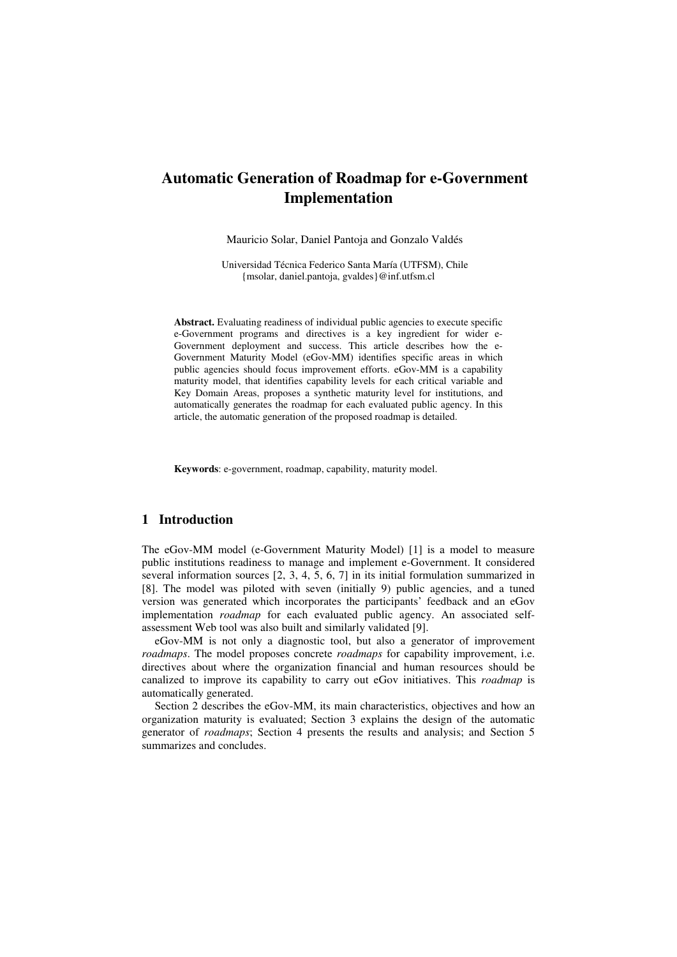# **Automatic Generation of Roadmap for e-Government Implementation**

Mauricio Solar, Daniel Pantoja and Gonzalo Valdés

Universidad Técnica Federico Santa María (UTFSM), Chile {msolar, daniel.pantoja, gvaldes}@inf.utfsm.cl

**Abstract.** Evaluating readiness of individual public agencies to execute specific e-Government programs and directives is a key ingredient for wider e-Government deployment and success. This article describes how the e-Government Maturity Model (eGov-MM) identifies specific areas in which public agencies should focus improvement efforts. eGov-MM is a capability maturity model, that identifies capability levels for each critical variable and Key Domain Areas, proposes a synthetic maturity level for institutions, and automatically generates the roadmap for each evaluated public agency. In this article, the automatic generation of the proposed roadmap is detailed.

**Keywords**: e-government, roadmap, capability, maturity model.

## **1 Introduction**

The eGov-MM model (e-Government Maturity Model) [1] is a model to measure public institutions readiness to manage and implement e-Government. It considered several information sources [2, 3, 4, 5, 6, 7] in its initial formulation summarized in [8]. The model was piloted with seven (initially 9) public agencies, and a tuned version was generated which incorporates the participants' feedback and an eGov implementation *roadmap* for each evaluated public agency. An associated selfassessment Web tool was also built and similarly validated [9].

eGov-MM is not only a diagnostic tool, but also a generator of improvement *roadmaps*. The model proposes concrete *roadmaps* for capability improvement, i.e. directives about where the organization financial and human resources should be canalized to improve its capability to carry out eGov initiatives. This *roadmap* is automatically generated.

Section 2 describes the eGov-MM, its main characteristics, objectives and how an organization maturity is evaluated; Section 3 explains the design of the automatic generator of *roadmaps*; Section 4 presents the results and analysis; and Section 5 summarizes and concludes.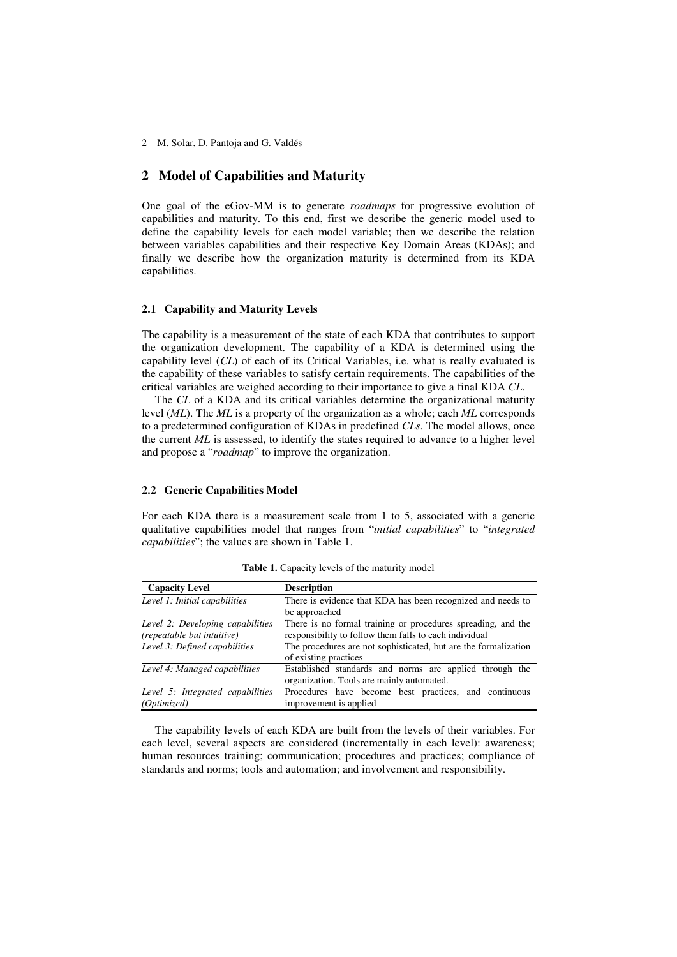## **2 Model of Capabilities and Maturity**

One goal of the eGov-MM is to generate *roadmaps* for progressive evolution of capabilities and maturity. To this end, first we describe the generic model used to define the capability levels for each model variable; then we describe the relation between variables capabilities and their respective Key Domain Areas (KDAs); and finally we describe how the organization maturity is determined from its KDA capabilities.

#### **2.1 Capability and Maturity Levels**

The capability is a measurement of the state of each KDA that contributes to support the organization development. The capability of a KDA is determined using the capability level (*CL*) of each of its Critical Variables, i.e. what is really evaluated is the capability of these variables to satisfy certain requirements. The capabilities of the critical variables are weighed according to their importance to give a final KDA *CL*.

The *CL* of a KDA and its critical variables determine the organizational maturity level (*ML*). The *ML* is a property of the organization as a whole; each *ML* corresponds to a predetermined configuration of KDAs in predefined *CLs*. The model allows, once the current *ML* is assessed, to identify the states required to advance to a higher level and propose a "*roadmap*" to improve the organization.

## **2.2 Generic Capabilities Model**

For each KDA there is a measurement scale from 1 to 5, associated with a generic qualitative capabilities model that ranges from "*initial capabilities*" to "*integrated capabilities*"; the values are shown in Table 1.

| <b>Capacity Level</b>            | <b>Description</b>                                              |  |
|----------------------------------|-----------------------------------------------------------------|--|
| Level 1: Initial capabilities    | There is evidence that KDA has been recognized and needs to     |  |
|                                  | be approached                                                   |  |
| Level 2: Developing capabilities | There is no formal training or procedures spreading, and the    |  |
| (repeatable but intuitive)       | responsibility to follow them falls to each individual          |  |
| Level 3: Defined capabilities    | The procedures are not sophisticated, but are the formalization |  |
|                                  | of existing practices                                           |  |
| Level 4: Managed capabilities    | Established standards and norms are applied through the         |  |
|                                  | organization. Tools are mainly automated.                       |  |
| Level 5: Integrated capabilities | Procedures have become best practices, and continuous           |  |
| (Optimized)                      | improvement is applied                                          |  |

**Table 1.** Capacity levels of the maturity model

The capability levels of each KDA are built from the levels of their variables. For each level, several aspects are considered (incrementally in each level): awareness; human resources training; communication; procedures and practices; compliance of standards and norms; tools and automation; and involvement and responsibility.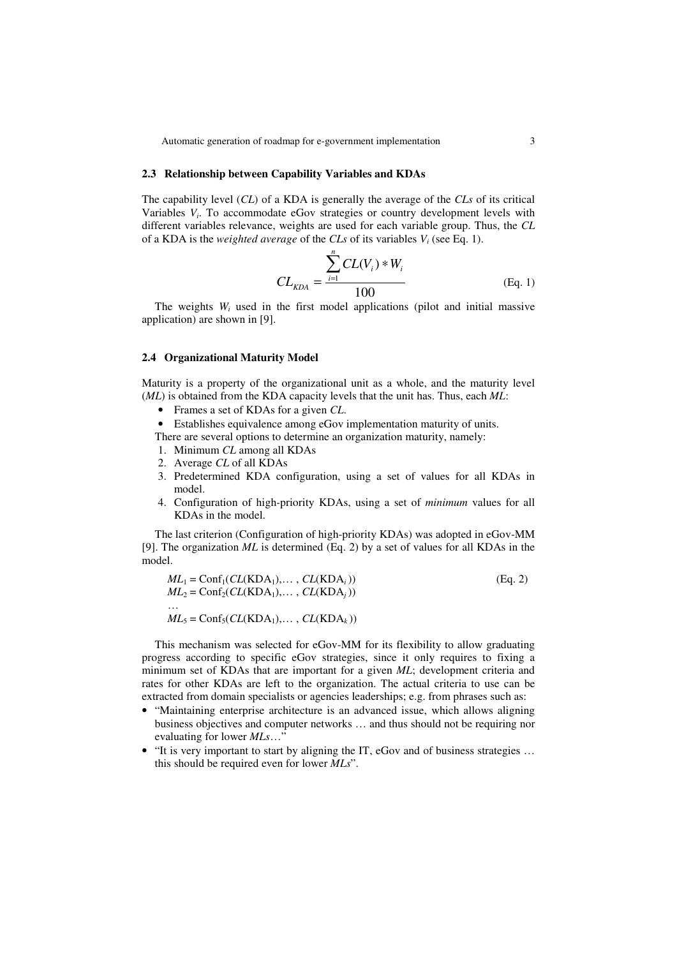#### **2.3 Relationship between Capability Variables and KDAs**

The capability level (*CL*) of a KDA is generally the average of the *CLs* of its critical Variables  $V_i$ . To accommodate eGov strategies or country development levels with different variables relevance, weights are used for each variable group. Thus, the *CL* of a KDA is the *weighted average* of the *CLs* of its variables *V<sup>i</sup>* (see Eq. 1).

$$
CL_{KDA} = \frac{\sum_{i=1}^{n} CL(V_i) * W_i}{100}
$$
 (Eq. 1)

The weights  $W_i$  used in the first model applications (pilot and initial massive application) are shown in [9].

### **2.4 Organizational Maturity Model**

Maturity is a property of the organizational unit as a whole, and the maturity level (*ML*) is obtained from the KDA capacity levels that the unit has. Thus, each *ML*:

- Frames a set of KDAs for a given *CL*.
- Establishes equivalence among eGov implementation maturity of units.
- There are several options to determine an organization maturity, namely:
- 1. Minimum *CL* among all KDAs
- 2. Average *CL* of all KDAs
- 3. Predetermined KDA configuration, using a set of values for all KDAs in model.
- 4. Configuration of high-priority KDAs, using a set of *minimum* values for all KDAs in the model.

The last criterion (Configuration of high-priority KDAs) was adopted in eGov-MM [9]. The organization *ML* is determined (Eq. 2) by a set of values for all KDAs in the model.

$$
ML_1 = \text{Conf}_1(\text{CL(KDA}_1), \dots, \text{CL(KDA}_i))
$$
  
\n
$$
ML_2 = \text{Conf}_2(\text{CL(KDA}_1), \dots, \text{CL(KDA}_j))
$$
  
\n
$$
\dots
$$
\n(Eq. 2)

$$
ML_5 = \text{Conf}_5(CL(\text{KDA}_1), \dots, CL(\text{KDA}_k))
$$

This mechanism was selected for eGov-MM for its flexibility to allow graduating progress according to specific eGov strategies, since it only requires to fixing a minimum set of KDAs that are important for a given *ML*; development criteria and rates for other KDAs are left to the organization. The actual criteria to use can be extracted from domain specialists or agencies leaderships; e.g. from phrases such as:

- "Maintaining enterprise architecture is an advanced issue, which allows aligning business objectives and computer networks … and thus should not be requiring nor evaluating for lower *MLs*…"
- "It is very important to start by aligning the IT, eGov and of business strategies … this should be required even for lower *MLs*".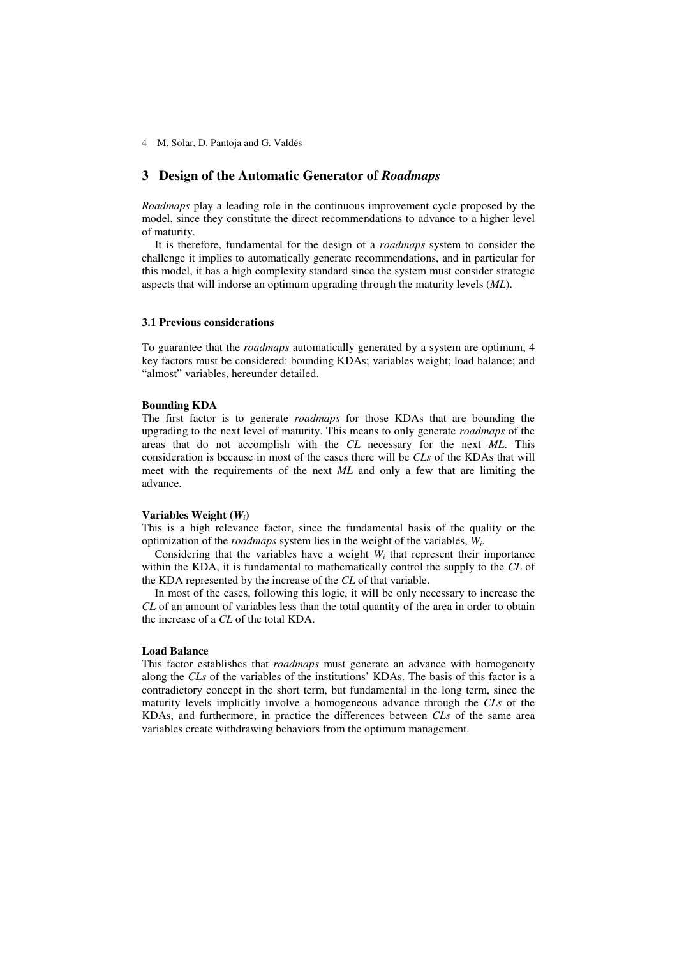## **3 Design of the Automatic Generator of** *Roadmaps*

*Roadmaps* play a leading role in the continuous improvement cycle proposed by the model, since they constitute the direct recommendations to advance to a higher level of maturity.

It is therefore, fundamental for the design of a *roadmaps* system to consider the challenge it implies to automatically generate recommendations, and in particular for this model, it has a high complexity standard since the system must consider strategic aspects that will indorse an optimum upgrading through the maturity levels (*ML*).

#### **3.1 Previous considerations**

To guarantee that the *roadmaps* automatically generated by a system are optimum, 4 key factors must be considered: bounding KDAs; variables weight; load balance; and "almost" variables, hereunder detailed.

### **Bounding KDA**

The first factor is to generate *roadmaps* for those KDAs that are bounding the upgrading to the next level of maturity. This means to only generate *roadmaps* of the areas that do not accomplish with the *CL* necessary for the next *ML*. This consideration is because in most of the cases there will be *CLs* of the KDAs that will meet with the requirements of the next *ML* and only a few that are limiting the advance.

### **Variables Weight (***Wi***)**

This is a high relevance factor, since the fundamental basis of the quality or the optimization of the *roadmaps* system lies in the weight of the variables, *W<sup>i</sup>* .

Considering that the variables have a weight  $W_i$  that represent their importance within the KDA, it is fundamental to mathematically control the supply to the *CL* of the KDA represented by the increase of the *CL* of that variable.

In most of the cases, following this logic, it will be only necessary to increase the *CL* of an amount of variables less than the total quantity of the area in order to obtain the increase of a *CL* of the total KDA.

#### **Load Balance**

This factor establishes that *roadmaps* must generate an advance with homogeneity along the *CLs* of the variables of the institutions' KDAs. The basis of this factor is a contradictory concept in the short term, but fundamental in the long term, since the maturity levels implicitly involve a homogeneous advance through the *CLs* of the KDAs, and furthermore, in practice the differences between *CLs* of the same area variables create withdrawing behaviors from the optimum management.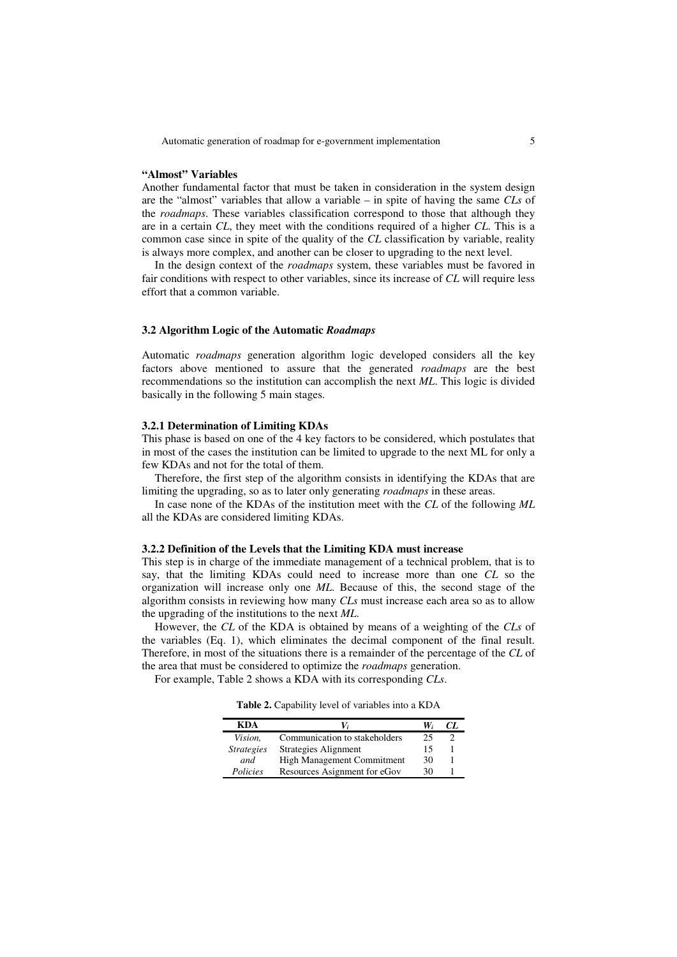#### **"Almost" Variables**

Another fundamental factor that must be taken in consideration in the system design are the "almost" variables that allow a variable – in spite of having the same *CLs* of the *roadmaps*. These variables classification correspond to those that although they are in a certain *CL*, they meet with the conditions required of a higher *CL*. This is a common case since in spite of the quality of the *CL* classification by variable, reality is always more complex, and another can be closer to upgrading to the next level.

In the design context of the *roadmaps* system, these variables must be favored in fair conditions with respect to other variables, since its increase of *CL* will require less effort that a common variable.

#### **3.2 Algorithm Logic of the Automatic** *Roadmaps*

Automatic *roadmaps* generation algorithm logic developed considers all the key factors above mentioned to assure that the generated *roadmaps* are the best recommendations so the institution can accomplish the next *ML*. This logic is divided basically in the following 5 main stages.

#### **3.2.1 Determination of Limiting KDAs**

This phase is based on one of the 4 key factors to be considered, which postulates that in most of the cases the institution can be limited to upgrade to the next ML for only a few KDAs and not for the total of them.

Therefore, the first step of the algorithm consists in identifying the KDAs that are limiting the upgrading, so as to later only generating *roadmaps* in these areas.

In case none of the KDAs of the institution meet with the *CL* of the following *ML* all the KDAs are considered limiting KDAs.

#### **3.2.2 Definition of the Levels that the Limiting KDA must increase**

This step is in charge of the immediate management of a technical problem, that is to say, that the limiting KDAs could need to increase more than one *CL* so the organization will increase only one *ML*. Because of this, the second stage of the algorithm consists in reviewing how many *CLs* must increase each area so as to allow the upgrading of the institutions to the next *ML*.

However, the *CL* of the KDA is obtained by means of a weighting of the *CLs* of the variables (Eq. 1), which eliminates the decimal component of the final result. Therefore, in most of the situations there is a remainder of the percentage of the *CL* of the area that must be considered to optimize the *roadmaps* generation.

For example, Table 2 shows a KDA with its corresponding *CLs*.

**Table 2.** Capability level of variables into a KDA

| KDA               | V:                                | W. |  |
|-------------------|-----------------------------------|----|--|
| Vision.           | Communication to stakeholders     | 25 |  |
| <b>Strategies</b> | Strategies Alignment              | 15 |  |
| and               | <b>High Management Commitment</b> | 30 |  |
| Policies          | Resources Asignment for eGov      | 30 |  |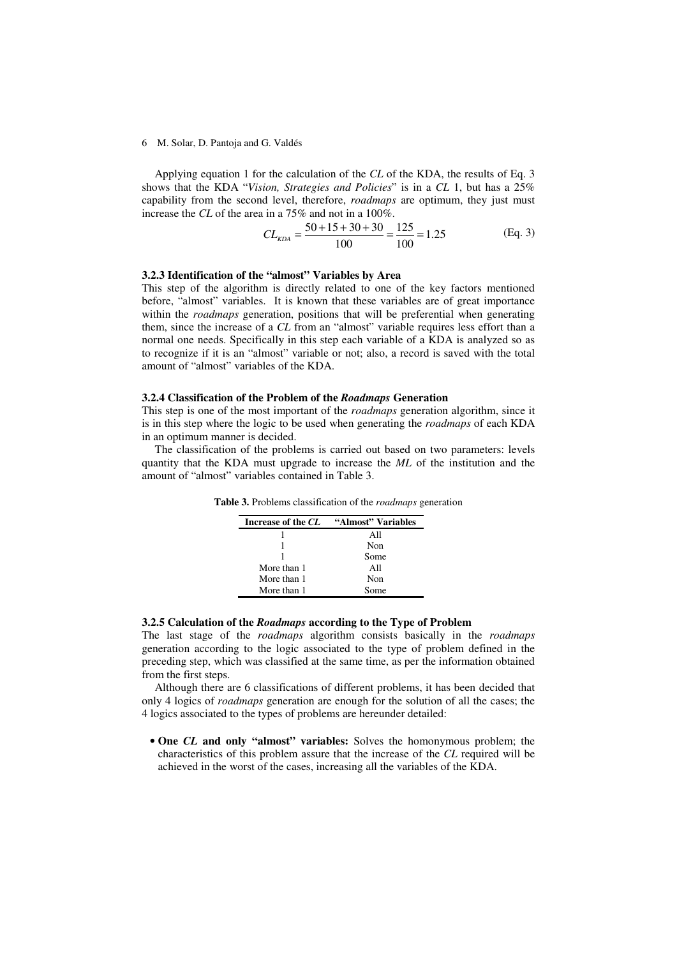Applying equation 1 for the calculation of the *CL* of the KDA, the results of Eq. 3 shows that the KDA "*Vision, Strategies and Policies*" is in a *CL* 1, but has a 25% capability from the second level, therefore, *roadmaps* are optimum, they just must increase the *CL* of the area in a 75% and not in a 100%.

$$
CL_{KDA} = \frac{50 + 15 + 30 + 30}{100} = \frac{125}{100} = 1.25
$$
 (Eq. 3)

## **3.2.3 Identification of the "almost" Variables by Area**

This step of the algorithm is directly related to one of the key factors mentioned before, "almost" variables. It is known that these variables are of great importance within the *roadmaps* generation, positions that will be preferential when generating them, since the increase of a *CL* from an "almost" variable requires less effort than a normal one needs. Specifically in this step each variable of a KDA is analyzed so as to recognize if it is an "almost" variable or not; also, a record is saved with the total amount of "almost" variables of the KDA.

#### **3.2.4 Classification of the Problem of the** *Roadmaps* **Generation**

This step is one of the most important of the *roadmaps* generation algorithm, since it is in this step where the logic to be used when generating the *roadmaps* of each KDA in an optimum manner is decided.

The classification of the problems is carried out based on two parameters: levels quantity that the KDA must upgrade to increase the *ML* of the institution and the amount of "almost" variables contained in Table 3.

| Increase of the CL | "Almost" Variables |
|--------------------|--------------------|
|                    | All                |
|                    | Non                |
|                    | Some               |
| More than 1        | A11                |
| More than 1        | Non                |
| More than 1        | Some               |

**Table 3.** Problems classification of the *roadmaps* generation

## **3.2.5 Calculation of the** *Roadmaps* **according to the Type of Problem**

The last stage of the *roadmaps* algorithm consists basically in the *roadmaps*  generation according to the logic associated to the type of problem defined in the preceding step, which was classified at the same time, as per the information obtained from the first steps.

Although there are 6 classifications of different problems, it has been decided that only 4 logics of *roadmaps* generation are enough for the solution of all the cases; the 4 logics associated to the types of problems are hereunder detailed:

• **One** *CL* **and only "almost" variables:** Solves the homonymous problem; the characteristics of this problem assure that the increase of the *CL* required will be achieved in the worst of the cases, increasing all the variables of the KDA.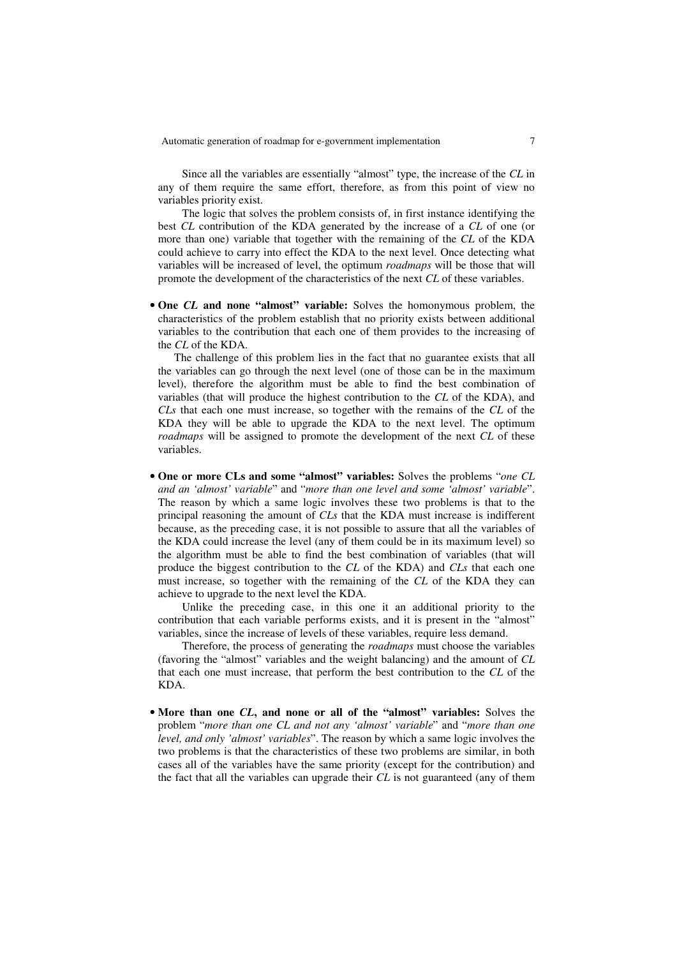Since all the variables are essentially "almost" type, the increase of the *CL* in any of them require the same effort, therefore, as from this point of view no variables priority exist.

 The logic that solves the problem consists of, in first instance identifying the best *CL* contribution of the KDA generated by the increase of a *CL* of one (or more than one) variable that together with the remaining of the *CL* of the KDA could achieve to carry into effect the KDA to the next level. Once detecting what variables will be increased of level, the optimum *roadmaps* will be those that will promote the development of the characteristics of the next *CL* of these variables.

• **One** *CL* **and none "almost" variable:** Solves the homonymous problem, the characteristics of the problem establish that no priority exists between additional variables to the contribution that each one of them provides to the increasing of the *CL* of the KDA.

 The challenge of this problem lies in the fact that no guarantee exists that all the variables can go through the next level (one of those can be in the maximum level), therefore the algorithm must be able to find the best combination of variables (that will produce the highest contribution to the *CL* of the KDA), and *CLs* that each one must increase, so together with the remains of the *CL* of the KDA they will be able to upgrade the KDA to the next level. The optimum *roadmaps* will be assigned to promote the development of the next *CL* of these variables.

• **One or more CLs and some "almost" variables:** Solves the problems "*one CL and an 'almost' variable*" and "*more than one level and some 'almost' variable*". The reason by which a same logic involves these two problems is that to the principal reasoning the amount of *CLs* that the KDA must increase is indifferent because, as the preceding case, it is not possible to assure that all the variables of the KDA could increase the level (any of them could be in its maximum level) so the algorithm must be able to find the best combination of variables (that will produce the biggest contribution to the *CL* of the KDA) and *CLs* that each one must increase, so together with the remaining of the *CL* of the KDA they can achieve to upgrade to the next level the KDA.

Unlike the preceding case, in this one it an additional priority to the contribution that each variable performs exists, and it is present in the "almost" variables, since the increase of levels of these variables, require less demand.

Therefore, the process of generating the *roadmaps* must choose the variables (favoring the "almost" variables and the weight balancing) and the amount of *CL* that each one must increase, that perform the best contribution to the *CL* of the KDA.

• **More than one** *CL***, and none or all of the "almost" variables:** Solves the problem "*more than one CL and not any 'almost' variable*" and "*more than one level, and only 'almost' variables*". The reason by which a same logic involves the two problems is that the characteristics of these two problems are similar, in both cases all of the variables have the same priority (except for the contribution) and the fact that all the variables can upgrade their *CL* is not guaranteed (any of them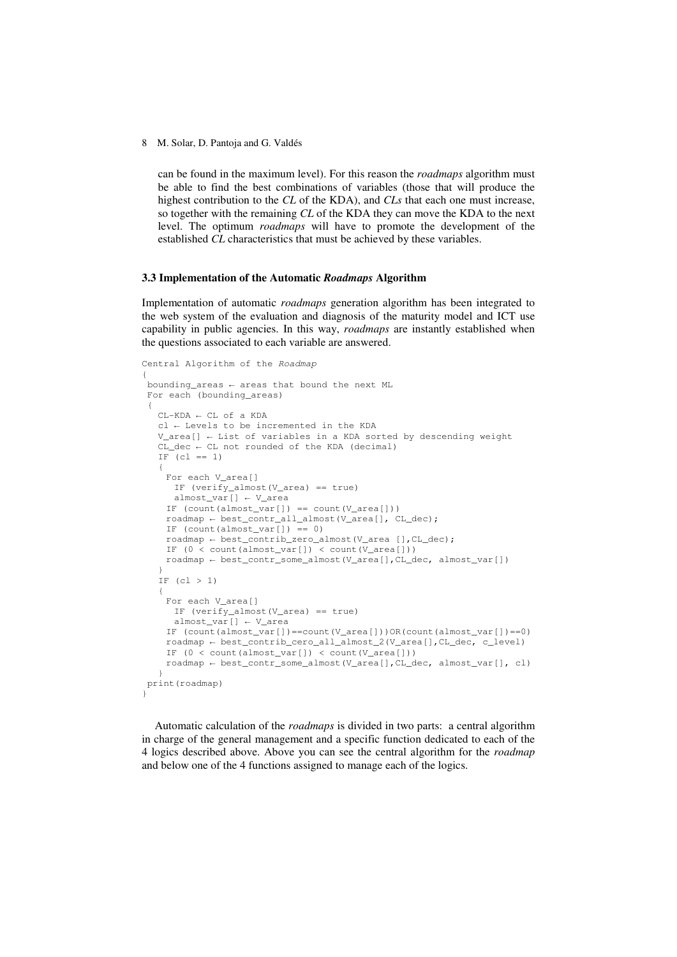can be found in the maximum level). For this reason the *roadmaps* algorithm must be able to find the best combinations of variables (those that will produce the highest contribution to the *CL* of the KDA), and *CLs* that each one must increase, so together with the remaining *CL* of the KDA they can move the KDA to the next level. The optimum *roadmaps* will have to promote the development of the established *CL* characteristics that must be achieved by these variables.

#### **3.3 Implementation of the Automatic** *Roadmaps* **Algorithm**

Implementation of automatic *roadmaps* generation algorithm has been integrated to the web system of the evaluation and diagnosis of the maturity model and ICT use capability in public agencies. In this way, *roadmaps* are instantly established when the questions associated to each variable are answered.

```
Central Algorithm of the Roadmap 
{ 
 bounding_areas ← areas that bound the next ML 
 For each (bounding_areas) 
\left\{ \begin{array}{c} \end{array} \right. CL-KDA ← CL of a KDA 
   cl ← Levels to be incremented in the KDA 
    V_area[] ← List of variables in a KDA sorted by descending weight 
   CL\_dec \leftarrow CL not rounded of the KDA (decimal)
   IF (cl == 1) { 
     For each V_area[] 
       IF (verify_almost(V_area) == true) 
      almost var[] \leftarrow V area
    IF (count(almost\_var[]) == count(V\_area[j])) roadmap ← best_contr_all_almost(V_area[], CL_dec); 
    IF (count(almost\_var[]) == 0) roadmap ← best_contrib_zero_almost(V_area [],CL_dec); 
    IF (0 < \text{count}(\text{almost\_var}[)) < \text{count}(V_\text{area}[)) roadmap ← best_contr_some_almost(V_area[],CL_dec, almost_var[]) 
\rightarrowIF (cl > 1) { 
     For each V_area[] 
       IF (verify_almost(V_area) == true) 
       almost_var[] ← V_area 
    IF \text{(count(d)most\_var)}=-\text{count}(V\_area[))\text{OR}(\text{count(d)most\_var})==0) roadmap ← best_contrib_cero_all_almost_2(V_area[],CL_dec, c_level) 
     IF (0 < count(almost_var[]) < count(V_area[]))
     roadmap ← best_contr_some_almost(V_area[],CL_dec, almost_var[], cl) 
\rightarrow print(roadmap) 
}
```
Automatic calculation of the *roadmaps* is divided in two parts: a central algorithm in charge of the general management and a specific function dedicated to each of the 4 logics described above. Above you can see the central algorithm for the *roadmap* and below one of the 4 functions assigned to manage each of the logics.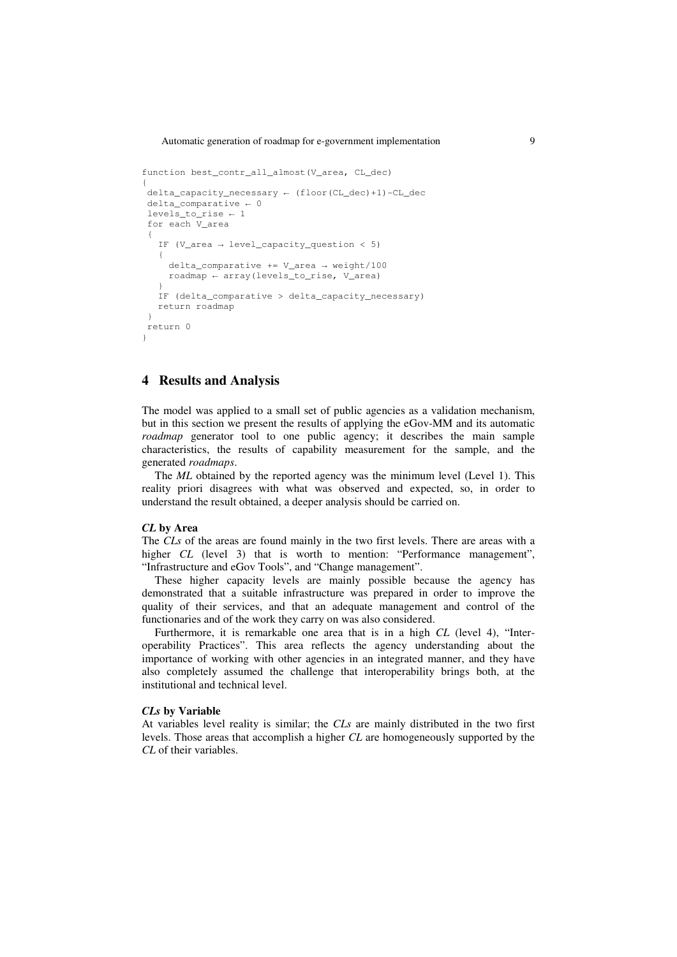#### Automatic generation of roadmap for e-government implementation 9

```
function best_contr_all_almost(V_area, CL_dec) 
{ 
 delta_capacity_necessary ← (floor(CL_dec)+1)-CL_dec 
delta_{comparative} \leftarrow 0 levels_to_rise ← 1 
 for each V_area 
\left\{ \begin{array}{c} \end{array} \right.IF (V_area \rightarrow level_capacity_question < 5)
    { 
      delta_comparative += V_area → weight/100 
      roadmap ← array(levels_to_rise, V_area) 
\rightarrow IF (delta_comparative > delta_capacity_necessary) 
    return roadmap 
 } 
 return 0 
}
```
## **4 Results and Analysis**

The model was applied to a small set of public agencies as a validation mechanism, but in this section we present the results of applying the eGov-MM and its automatic *roadmap* generator tool to one public agency; it describes the main sample characteristics, the results of capability measurement for the sample, and the generated *roadmaps*.

The *ML* obtained by the reported agency was the minimum level (Level 1). This reality priori disagrees with what was observed and expected, so, in order to understand the result obtained, a deeper analysis should be carried on.

#### *CL* **by Area**

The *CLs* of the areas are found mainly in the two first levels. There are areas with a higher *CL* (level 3) that is worth to mention: "Performance management", "Infrastructure and eGov Tools", and "Change management".

These higher capacity levels are mainly possible because the agency has demonstrated that a suitable infrastructure was prepared in order to improve the quality of their services, and that an adequate management and control of the functionaries and of the work they carry on was also considered.

Furthermore, it is remarkable one area that is in a high *CL* (level 4), "Interoperability Practices". This area reflects the agency understanding about the importance of working with other agencies in an integrated manner, and they have also completely assumed the challenge that interoperability brings both, at the institutional and technical level.

#### *CLs* **by Variable**

At variables level reality is similar; the *CLs* are mainly distributed in the two first levels. Those areas that accomplish a higher *CL* are homogeneously supported by the *CL* of their variables.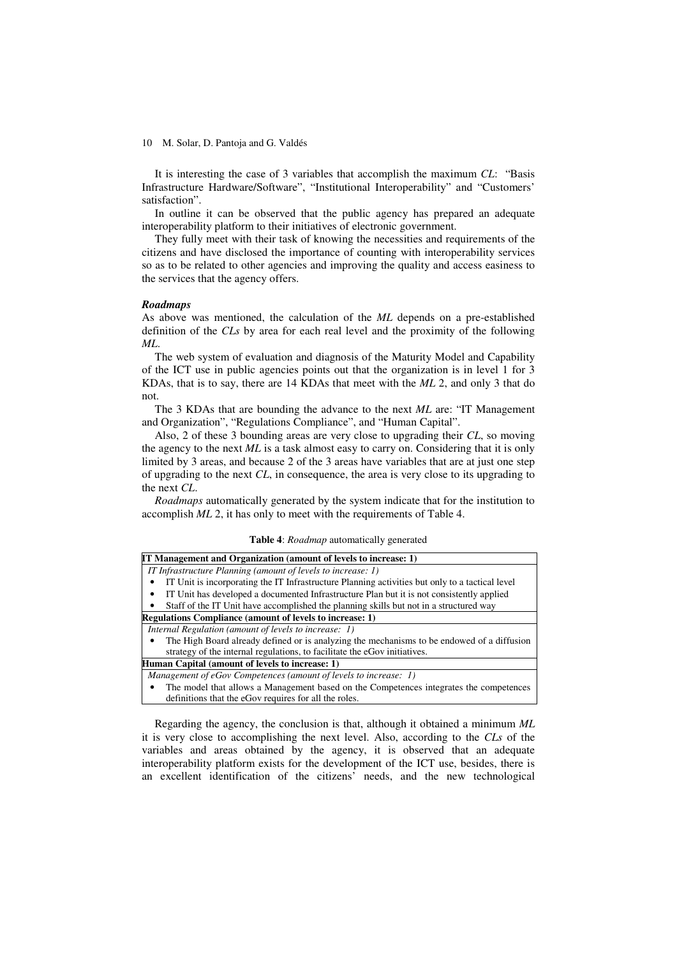It is interesting the case of 3 variables that accomplish the maximum *CL*: "Basis Infrastructure Hardware/Software", "Institutional Interoperability" and "Customers' satisfaction".

In outline it can be observed that the public agency has prepared an adequate interoperability platform to their initiatives of electronic government.

They fully meet with their task of knowing the necessities and requirements of the citizens and have disclosed the importance of counting with interoperability services so as to be related to other agencies and improving the quality and access easiness to the services that the agency offers.

#### *Roadmaps*

As above was mentioned, the calculation of the *ML* depends on a pre-established definition of the *CLs* by area for each real level and the proximity of the following *ML*.

The web system of evaluation and diagnosis of the Maturity Model and Capability of the ICT use in public agencies points out that the organization is in level 1 for 3 KDAs, that is to say, there are 14 KDAs that meet with the *ML* 2, and only 3 that do not.

The 3 KDAs that are bounding the advance to the next *ML* are: "IT Management and Organization", "Regulations Compliance", and "Human Capital".

Also, 2 of these 3 bounding areas are very close to upgrading their *CL*, so moving the agency to the next *ML* is a task almost easy to carry on. Considering that it is only limited by 3 areas, and because 2 of the 3 areas have variables that are at just one step of upgrading to the next *CL*, in consequence, the area is very close to its upgrading to the next *CL*.

*Roadmaps* automatically generated by the system indicate that for the institution to accomplish *ML* 2, it has only to meet with the requirements of Table 4.

|  | Table 4: Roadmap automatically generated |
|--|------------------------------------------|
|--|------------------------------------------|

| IT Management and Organization (amount of levels to increase: 1)                                |
|-------------------------------------------------------------------------------------------------|
| IT Infrastructure Planning (amount of levels to increase: 1)                                    |
| IT Unit is incorporating the IT Infrastructure Planning activities but only to a tactical level |
| IT Unit has developed a documented Infrastructure Plan but it is not consistently applied       |
| Staff of the IT Unit have accomplished the planning skills but not in a structured way          |
| <b>Regulations Compliance (amount of levels to increase: 1)</b>                                 |
| Internal Regulation (amount of levels to increase: 1)                                           |
| The High Board already defined or is analyzing the mechanisms to be endowed of a diffusion      |
| strategy of the internal regulations, to facilitate the eGov initiatives.                       |
| Human Capital (amount of levels to increase: 1)                                                 |
| Management of eGov Competences (amount of levels to increase: 1)                                |
| The model that allows a Management based on the Competences integrates the competences          |
| definitions that the eGov requires for all the roles.                                           |

Regarding the agency, the conclusion is that, although it obtained a minimum *ML* it is very close to accomplishing the next level. Also, according to the *CLs* of the variables and areas obtained by the agency, it is observed that an adequate interoperability platform exists for the development of the ICT use, besides, there is an excellent identification of the citizens' needs, and the new technological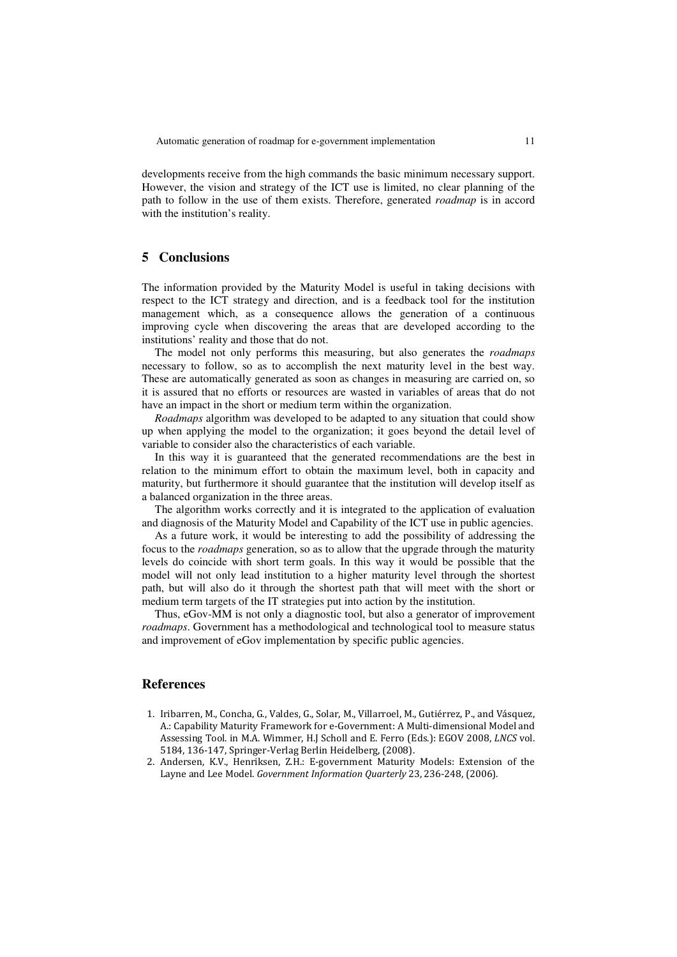developments receive from the high commands the basic minimum necessary support. However, the vision and strategy of the ICT use is limited, no clear planning of the path to follow in the use of them exists. Therefore, generated *roadmap* is in accord with the institution's reality.

## **5 Conclusions**

The information provided by the Maturity Model is useful in taking decisions with respect to the ICT strategy and direction, and is a feedback tool for the institution management which, as a consequence allows the generation of a continuous improving cycle when discovering the areas that are developed according to the institutions' reality and those that do not.

The model not only performs this measuring, but also generates the *roadmaps* necessary to follow, so as to accomplish the next maturity level in the best way. These are automatically generated as soon as changes in measuring are carried on, so it is assured that no efforts or resources are wasted in variables of areas that do not have an impact in the short or medium term within the organization.

*Roadmaps* algorithm was developed to be adapted to any situation that could show up when applying the model to the organization; it goes beyond the detail level of variable to consider also the characteristics of each variable.

In this way it is guaranteed that the generated recommendations are the best in relation to the minimum effort to obtain the maximum level, both in capacity and maturity, but furthermore it should guarantee that the institution will develop itself as a balanced organization in the three areas.

The algorithm works correctly and it is integrated to the application of evaluation and diagnosis of the Maturity Model and Capability of the ICT use in public agencies.

As a future work, it would be interesting to add the possibility of addressing the focus to the *roadmaps* generation, so as to allow that the upgrade through the maturity levels do coincide with short term goals. In this way it would be possible that the model will not only lead institution to a higher maturity level through the shortest path, but will also do it through the shortest path that will meet with the short or medium term targets of the IT strategies put into action by the institution.

Thus, eGov-MM is not only a diagnostic tool, but also a generator of improvement *roadmaps*. Government has a methodological and technological tool to measure status and improvement of eGov implementation by specific public agencies.

## **References**

- 1. Iribarren, M., Concha, G., Valdes, G., Solar, M., Villarroel, M., Gutiérrez, P., and Vásquez, A.: Capability Maturity Framework for e-Government: A Multi-dimensional Model and Assessing Tool. in M.A. Wimmer, H.J Scholl and E. Ferro (Eds.): EGOV 2008, LNCS vol. 5184, 136-147, Springer-Verlag Berlin Heidelberg, (2008).
- 2. Andersen, K.V., Henriksen, Z.H.: E-government Maturity Models: Extension of the Layne and Lee Model. Government Information Quarterly 23, 236-248, (2006).